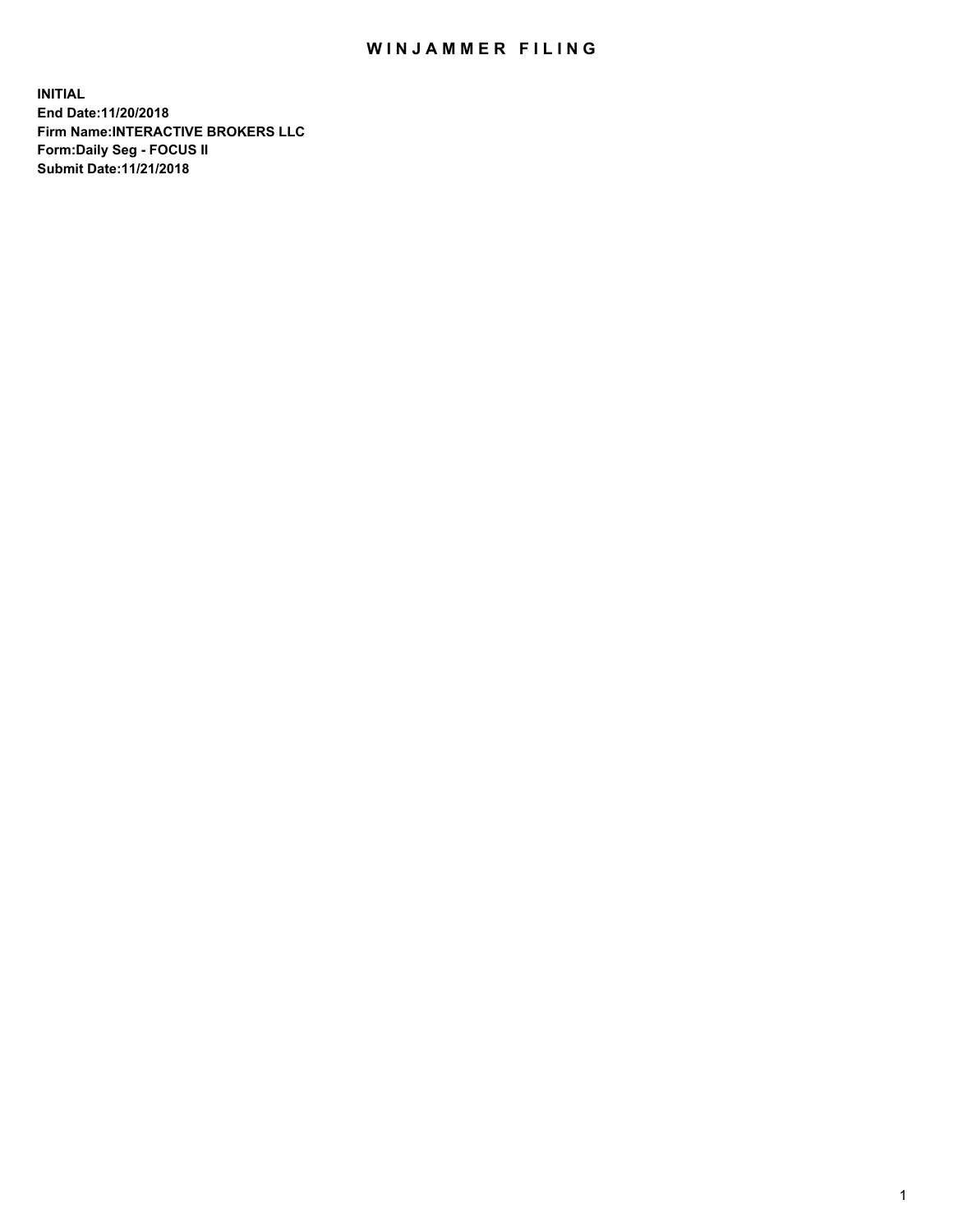## WIN JAMMER FILING

**INITIAL End Date:11/20/2018 Firm Name:INTERACTIVE BROKERS LLC Form:Daily Seg - FOCUS II Submit Date:11/21/2018**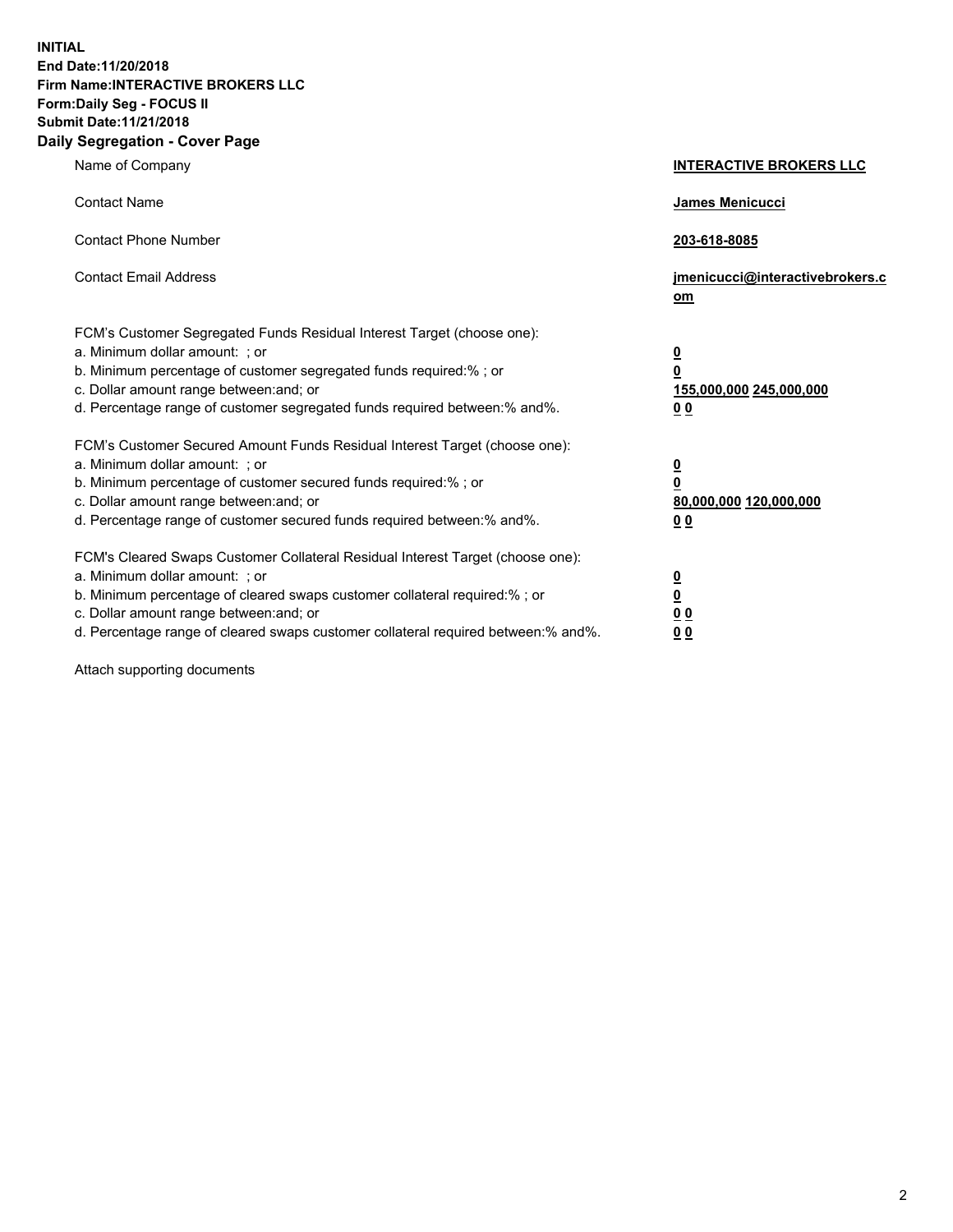**INITIAL End Date:11/20/2018 Firm Name:INTERACTIVE BROKERS LLC Form:Daily Seg - FOCUS II Submit Date:11/21/2018 Daily Segregation - Cover Page**

| Name of Company                                                                                                                                                                                                                                                                                                                | <b>INTERACTIVE BROKERS LLC</b>                                                                  |
|--------------------------------------------------------------------------------------------------------------------------------------------------------------------------------------------------------------------------------------------------------------------------------------------------------------------------------|-------------------------------------------------------------------------------------------------|
| <b>Contact Name</b>                                                                                                                                                                                                                                                                                                            | James Menicucci                                                                                 |
| <b>Contact Phone Number</b>                                                                                                                                                                                                                                                                                                    | 203-618-8085                                                                                    |
| <b>Contact Email Address</b>                                                                                                                                                                                                                                                                                                   | jmenicucci@interactivebrokers.c<br>om                                                           |
| FCM's Customer Segregated Funds Residual Interest Target (choose one):<br>a. Minimum dollar amount: ; or<br>b. Minimum percentage of customer segregated funds required:% ; or<br>c. Dollar amount range between: and; or<br>d. Percentage range of customer segregated funds required between:% and%.                         | $\overline{\mathbf{0}}$<br>$\overline{\mathbf{0}}$<br>155,000,000 245,000,000<br>0 <sub>0</sub> |
| FCM's Customer Secured Amount Funds Residual Interest Target (choose one):<br>a. Minimum dollar amount: ; or<br>b. Minimum percentage of customer secured funds required:%; or<br>c. Dollar amount range between: and; or<br>d. Percentage range of customer secured funds required between:% and%.                            | $\overline{\mathbf{0}}$<br>$\overline{\mathbf{0}}$<br>80,000,000 120,000,000<br>00              |
| FCM's Cleared Swaps Customer Collateral Residual Interest Target (choose one):<br>a. Minimum dollar amount: ; or<br>b. Minimum percentage of cleared swaps customer collateral required:% ; or<br>c. Dollar amount range between: and; or<br>d. Percentage range of cleared swaps customer collateral required between:% and%. | $\overline{\mathbf{0}}$<br>$\underline{\mathbf{0}}$<br>0 <sub>0</sub><br>0 <sub>0</sub>         |

Attach supporting documents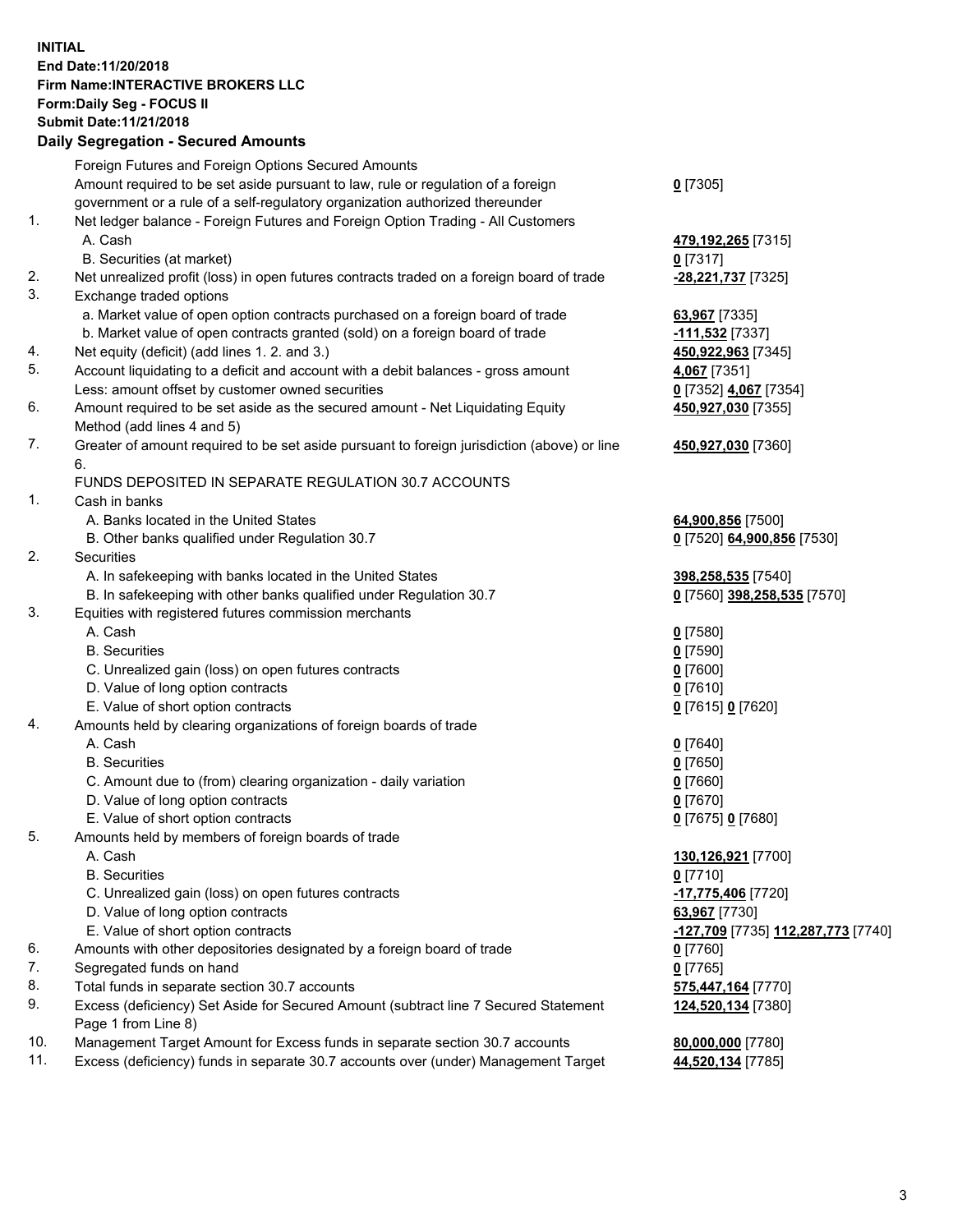## **INITIAL End Date:11/20/2018 Firm Name:INTERACTIVE BROKERS LLC Form:Daily Seg - FOCUS II Submit Date:11/21/2018 Daily Segregation - Secured Amounts**

|     | Daily Segregation - Secured Amounts                                                         |                                                        |
|-----|---------------------------------------------------------------------------------------------|--------------------------------------------------------|
|     | Foreign Futures and Foreign Options Secured Amounts                                         |                                                        |
|     | Amount required to be set aside pursuant to law, rule or regulation of a foreign            | $0$ [7305]                                             |
|     | government or a rule of a self-regulatory organization authorized thereunder                |                                                        |
| 1.  | Net ledger balance - Foreign Futures and Foreign Option Trading - All Customers             |                                                        |
|     | A. Cash                                                                                     | 479,192,265 [7315]                                     |
|     | B. Securities (at market)                                                                   | $0$ [7317]                                             |
| 2.  | Net unrealized profit (loss) in open futures contracts traded on a foreign board of trade   | -28,221,737 [7325]                                     |
| 3.  | Exchange traded options                                                                     |                                                        |
|     | a. Market value of open option contracts purchased on a foreign board of trade              | 63,967 [7335]                                          |
|     | b. Market value of open contracts granted (sold) on a foreign board of trade                | -111,532 <sub>[7337]</sub>                             |
| 4.  | Net equity (deficit) (add lines 1. 2. and 3.)                                               | 450,922,963 [7345]                                     |
| 5.  | Account liquidating to a deficit and account with a debit balances - gross amount           | 4,067 [7351]                                           |
|     | Less: amount offset by customer owned securities                                            | 0 [7352] 4,067 [7354]                                  |
| 6.  | Amount required to be set aside as the secured amount - Net Liquidating Equity              | 450,927,030 [7355]                                     |
|     | Method (add lines 4 and 5)                                                                  |                                                        |
| 7.  | Greater of amount required to be set aside pursuant to foreign jurisdiction (above) or line | 450,927,030 [7360]                                     |
|     | 6.                                                                                          |                                                        |
|     | FUNDS DEPOSITED IN SEPARATE REGULATION 30.7 ACCOUNTS                                        |                                                        |
| 1.  | Cash in banks                                                                               |                                                        |
|     | A. Banks located in the United States                                                       | 64,900,856 [7500]                                      |
|     | B. Other banks qualified under Regulation 30.7                                              | 0 [7520] 64,900,856 [7530]                             |
| 2.  | Securities                                                                                  |                                                        |
|     | A. In safekeeping with banks located in the United States                                   | 398,258,535 [7540]                                     |
|     | B. In safekeeping with other banks qualified under Regulation 30.7                          | 0 [7560] 398,258,535 [7570]                            |
| 3.  | Equities with registered futures commission merchants                                       |                                                        |
|     | A. Cash                                                                                     | $0$ [7580]                                             |
|     | <b>B.</b> Securities                                                                        | $0$ [7590]                                             |
|     | C. Unrealized gain (loss) on open futures contracts                                         | $0$ [7600]                                             |
|     | D. Value of long option contracts                                                           | $0$ [7610]                                             |
|     | E. Value of short option contracts                                                          | 0 [7615] 0 [7620]                                      |
| 4.  | Amounts held by clearing organizations of foreign boards of trade                           |                                                        |
|     | A. Cash                                                                                     | $0$ [7640]                                             |
|     | <b>B.</b> Securities                                                                        | $0$ [7650]                                             |
|     | C. Amount due to (from) clearing organization - daily variation                             | $0$ [7660]                                             |
|     | D. Value of long option contracts                                                           | $0$ [7670]                                             |
|     | E. Value of short option contracts                                                          | 0 [7675] 0 [7680]                                      |
| 5.  | Amounts held by members of foreign boards of trade                                          |                                                        |
|     | A. Cash                                                                                     | 130,126,921 [7700]                                     |
|     | <b>B.</b> Securities                                                                        | $0$ [7710]                                             |
|     | C. Unrealized gain (loss) on open futures contracts                                         | -17,775,406 [7720]                                     |
|     | D. Value of long option contracts                                                           | 63,967 [7730]                                          |
|     | E. Value of short option contracts                                                          | <mark>-127,709</mark> [7735] <u>112,287,773</u> [7740] |
| 6.  | Amounts with other depositories designated by a foreign board of trade                      | 0 [7760]                                               |
| 7.  | Segregated funds on hand                                                                    | $0$ [7765]                                             |
| 8.  | Total funds in separate section 30.7 accounts                                               | 575,447,164 [7770]                                     |
| 9.  | Excess (deficiency) Set Aside for Secured Amount (subtract line 7 Secured Statement         | 124,520,134 [7380]                                     |
|     | Page 1 from Line 8)                                                                         |                                                        |
| 10. | Management Target Amount for Excess funds in separate section 30.7 accounts                 | 80,000,000 [7780]                                      |
| 11. | Excess (deficiency) funds in separate 30.7 accounts over (under) Management Target          | 44,520,134 [7785]                                      |
|     |                                                                                             |                                                        |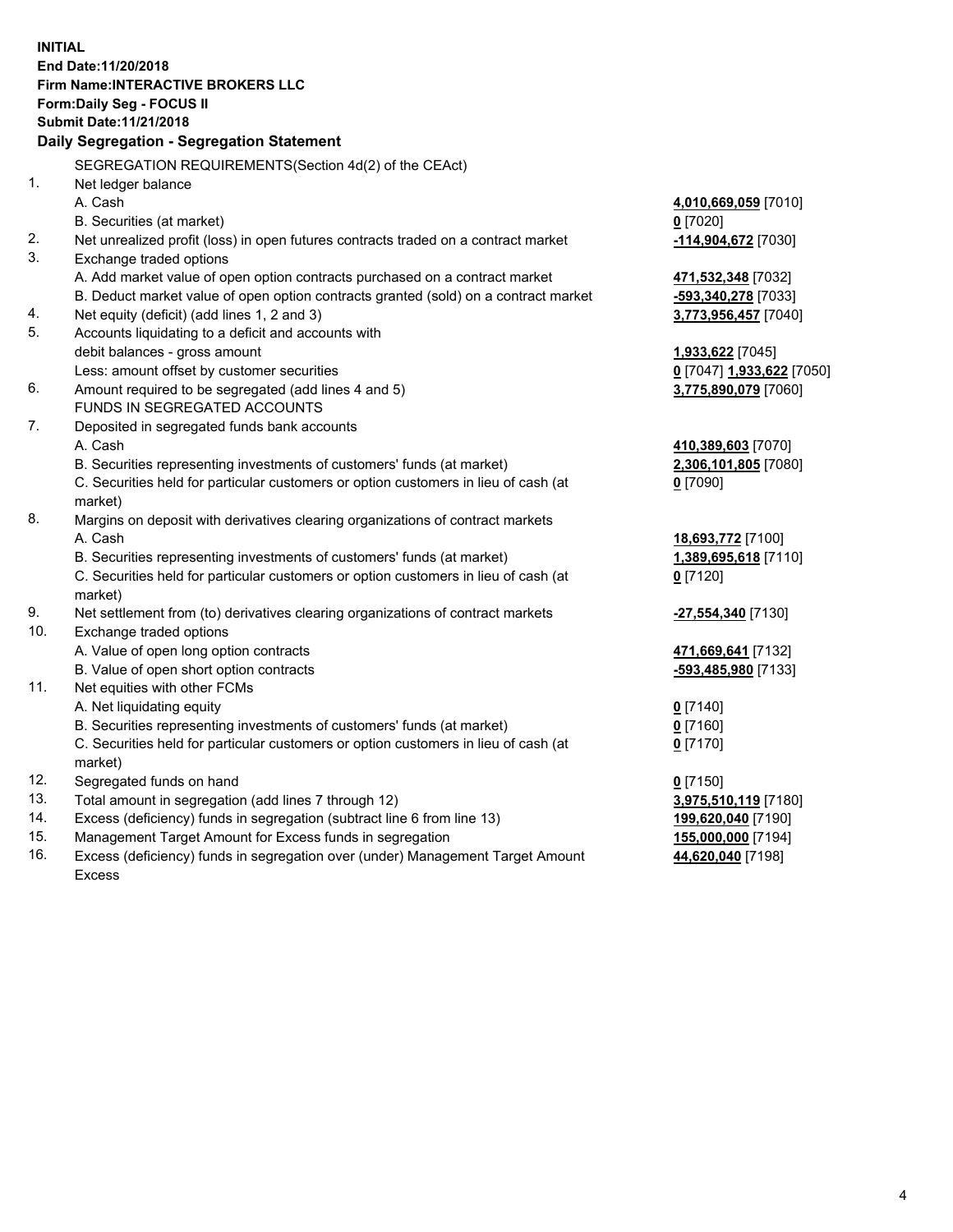**INITIAL End Date:11/20/2018 Firm Name:INTERACTIVE BROKERS LLC Form:Daily Seg - FOCUS II Submit Date:11/21/2018 Daily Segregation - Segregation Statement** SEGREGATION REQUIREMENTS(Section 4d(2) of the CEAct) 1. Net ledger balance A. Cash **4,010,669,059** [7010] B. Securities (at market) **0** [7020] 2. Net unrealized profit (loss) in open futures contracts traded on a contract market **-114,904,672** [7030] 3. Exchange traded options A. Add market value of open option contracts purchased on a contract market **471,532,348** [7032] B. Deduct market value of open option contracts granted (sold) on a contract market **-593,340,278** [7033] 4. Net equity (deficit) (add lines 1, 2 and 3) **3,773,956,457** [7040] 5. Accounts liquidating to a deficit and accounts with debit balances - gross amount **1,933,622** [7045] Less: amount offset by customer securities **0** [7047] **1,933,622** [7050] 6. Amount required to be segregated (add lines 4 and 5) **3,775,890,079** [7060] FUNDS IN SEGREGATED ACCOUNTS 7. Deposited in segregated funds bank accounts A. Cash **410,389,603** [7070] B. Securities representing investments of customers' funds (at market) **2,306,101,805** [7080] C. Securities held for particular customers or option customers in lieu of cash (at market) **0** [7090] 8. Margins on deposit with derivatives clearing organizations of contract markets A. Cash **18,693,772** [7100] B. Securities representing investments of customers' funds (at market) **1,389,695,618** [7110] C. Securities held for particular customers or option customers in lieu of cash (at market) **0** [7120] 9. Net settlement from (to) derivatives clearing organizations of contract markets **-27,554,340** [7130] 10. Exchange traded options A. Value of open long option contracts **471,669,641** [7132] B. Value of open short option contracts **-593,485,980** [7133] 11. Net equities with other FCMs A. Net liquidating equity **0** [7140] B. Securities representing investments of customers' funds (at market) **0** [7160] C. Securities held for particular customers or option customers in lieu of cash (at market) **0** [7170] 12. Segregated funds on hand **0** [7150] 13. Total amount in segregation (add lines 7 through 12) **3,975,510,119** [7180] 14. Excess (deficiency) funds in segregation (subtract line 6 from line 13) **199,620,040** [7190] 15. Management Target Amount for Excess funds in segregation **155,000,000** [7194] **44,620,040** [7198]

16. Excess (deficiency) funds in segregation over (under) Management Target Amount Excess